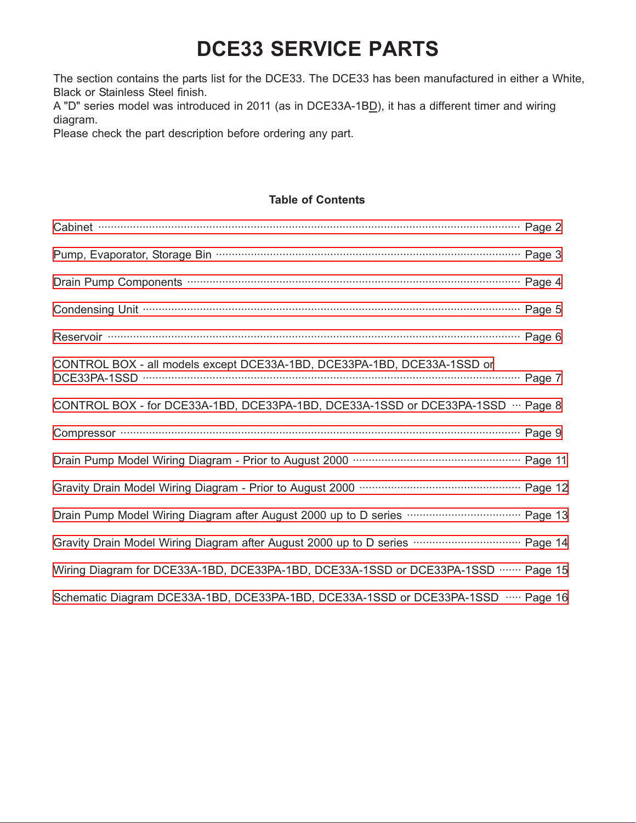The section contains the parts list for the DCE33. The DCE33 has been manufactured in either a White, Black or Stainless Steel finish.

A "D" series model was introduced in 2011 (as in DCE33A-1B<sub>D</sub>), it has a different timer and wiring diagram.

Please check the part description before ordering any part.

#### **Table of Contents**

| Cabinet <b>contract contract contract contract contract contract contract contract contract contract contract contract contract contract contract contract contract contract contract contract contract contract contract contra</b> |  |
|--------------------------------------------------------------------------------------------------------------------------------------------------------------------------------------------------------------------------------------|--|
|                                                                                                                                                                                                                                      |  |
|                                                                                                                                                                                                                                      |  |
|                                                                                                                                                                                                                                      |  |
|                                                                                                                                                                                                                                      |  |
| CONTROL BOX - all models except DCE33A-1BD, DCE33PA-1BD, DCE33A-1SSD or                                                                                                                                                              |  |
| CONTROL BOX - for DCE33A-1BD, DCE33PA-1BD, DCE33A-1SSD or DCE33PA-1SSD ··· Page 8                                                                                                                                                    |  |
|                                                                                                                                                                                                                                      |  |
|                                                                                                                                                                                                                                      |  |
|                                                                                                                                                                                                                                      |  |
| Drain Pump Model Wiring Diagram after August 2000 up to D series <b>www.www.www.www.page 13</b>                                                                                                                                      |  |
| Gravity Drain Model Wiring Diagram after August 2000 up to D series <b>www.common wares and Prage 14</b>                                                                                                                             |  |
| Wiring Diagram for DCE33A-1BD, DCE33PA-1BD, DCE33A-1SSD or DCE33PA-1SSD …… Page 15                                                                                                                                                   |  |
| Schematic Diagram DCE33A-1BD, DCE33PA-1BD, DCE33A-1SSD or DCE33PA-1SSD  Page 16                                                                                                                                                      |  |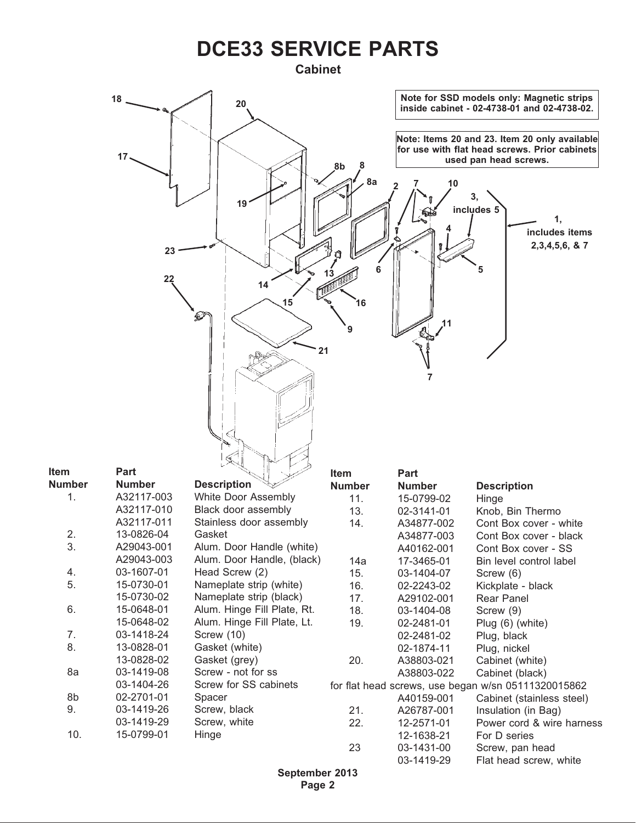#### <span id="page-1-0"></span>**Cabinet**

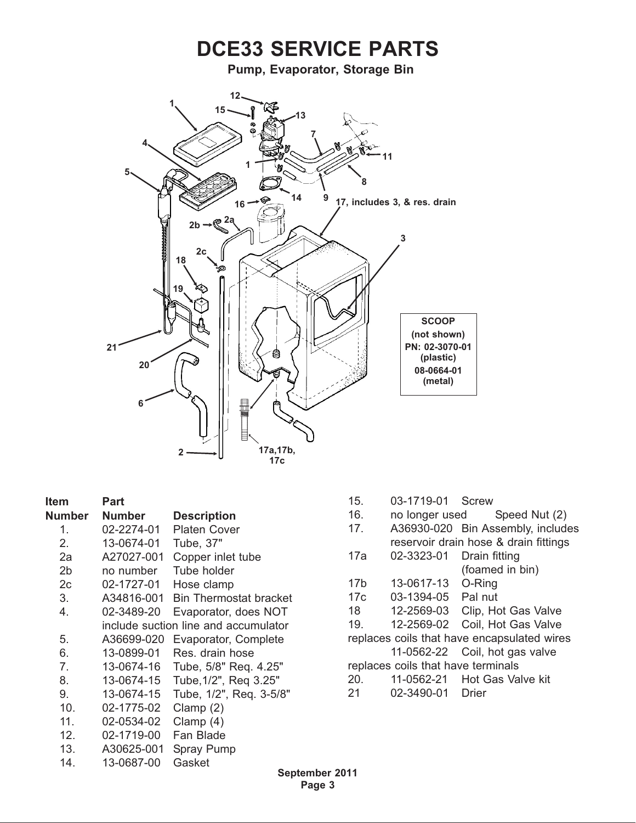<span id="page-2-0"></span>

| <b>Item</b>   | Part       |                                      |
|---------------|------------|--------------------------------------|
| <b>Number</b> | Number     | <b>Description</b>                   |
| 1.            | 02-2274-01 | Platen Cover                         |
| 2.            | 13-0674-01 | Tube, 37"                            |
| 2a            | A27027-001 | Copper inlet tube                    |
| 2b            | no number  | Tube holder                          |
| 2c            | 02-1727-01 | Hose clamp                           |
| 3.            | A34816-001 | <b>Bin Thermostat bracket</b>        |
| 4.            | 02-3489-20 | Evaporator, does NOT                 |
|               |            | include suction line and accumulator |
| 5.            | A36699-020 | Evaporator, Complete                 |
| 6.            | 13-0899-01 | Res. drain hose                      |
| 7.            | 13-0674-16 | Tube, 5/8" Req. 4.25"                |
| 8.            | 13-0674-15 | Tube, 1/2", Req 3.25"                |
| 9.            | 13-0674-15 | Tube, 1/2", Req. 3-5/8"              |
| 10.           | 02-1775-02 | Clamp $(2)$                          |
| 11.           | 02-0534-02 | Clamp $(4)$                          |
| 12.           | 02-1719-00 | Fan Blade                            |
| 13.           | A30625-001 | <b>Spray Pump</b>                    |
| 14.           | 13-0687-00 | Gasket                               |

- 15. 03-1719-01 Screw
- 16. no longer used Speed Nut (2)
- 17. A36930-020 Bin Assembly, includes reservoir drain hose & drain fittings
- 17a 02-3323-01 Drain fitting (foamed in bin)
- 17b 13-0617-13 O-Ring
- 17c 03-1394-05 Pal nut
- 18 12-2569-03 Clip, Hot Gas Valve
- 19. 12-2569-02 Coil, Hot Gas Valve

replaces coils that have encapsulated wires 11-0562-22 Coil, hot gas valve

- replaces coils that have terminals
- 20. 11-0562-21 Hot Gas Valve kit
- 21 02-3490-01 Drier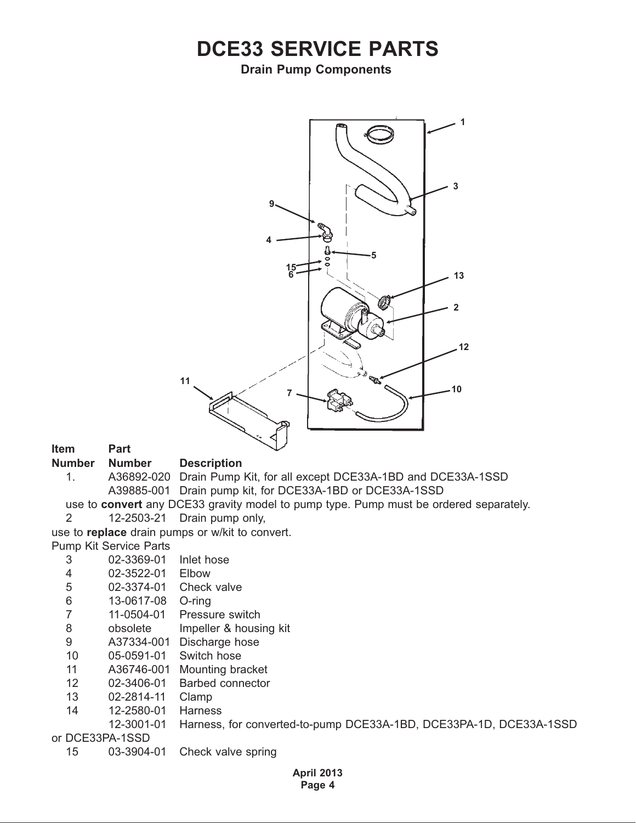#### <span id="page-3-0"></span>**Drain Pump Components**



**Item Part**

**Number Number Description**

- 1. A36892-020 Drain Pump Kit, for all except DCE33A-1BD and DCE33A-1SSD A39885-001 Drain pump kit, for DCE33A-1BD or DCE33A-1SSD
- use to **convert** any DCE33 gravity model to pump type. Pump must be ordered separately. 2 12-2503-21 Drain pump only,
- use to **replace** drain pumps or w/kit to convert.

Pump Kit Service Parts

- 3 02-3369-01 Inlet hose
- 4 02-3522-01 Elbow
- 5 02-3374-01 Check valve
- 6 13-0617-08 O-ring
- 7 11-0504-01 Pressure switch
- 8 obsolete Impeller & housing kit
- 9 A37334-001 Discharge hose
- 10 05-0591-01 Switch hose
- 11 A36746-001 Mounting bracket
- 12 02-3406-01 Barbed connector
- 13 02-2814-11 Clamp
- 14 12-2580-01 Harness
	- 12-3001-01 Harness, for converted-to-pump DCE33A-1BD, DCE33PA-1D, DCE33A-1SSD

or DCE33PA-1SSD

15 03-3904-01 Check valve spring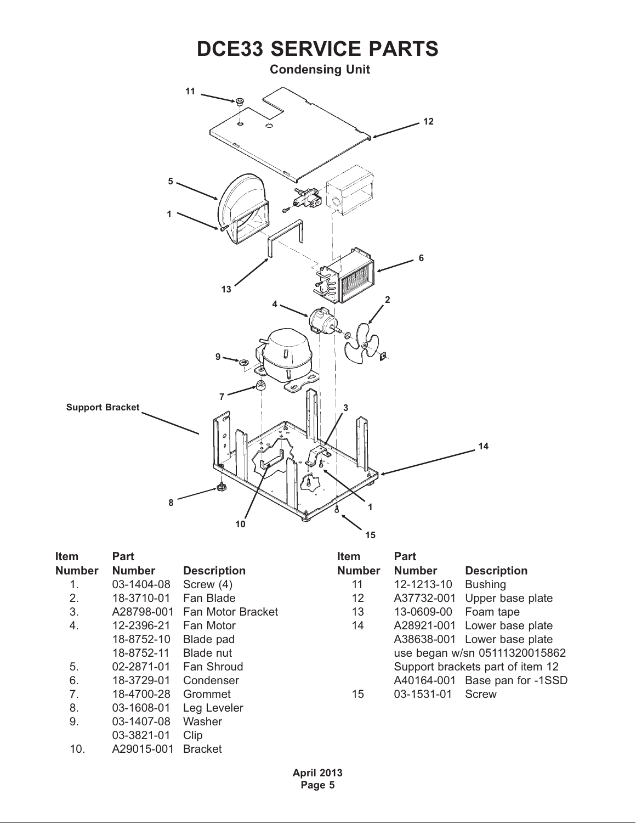<span id="page-4-0"></span>

| Item           | Part       |                          |
|----------------|------------|--------------------------|
| <b>Number</b>  | Number     | <b>Description</b>       |
| 1.             | 03-1404-08 | Screw (4)                |
| 2.             | 18-3710-01 | Fan Blade                |
| 3.             | A28798-001 | <b>Fan Motor Bracket</b> |
| 4.             | 12-2396-21 | Fan Motor                |
|                | 18-8752-10 | Blade pad                |
|                | 18-8752-11 | Blade nut                |
| 5.             | 02-2871-01 | Fan Shroud               |
| 6.             | 18-3729-01 | Condenser                |
| 7 <sub>1</sub> | 18-4700-28 | Grommet                  |
| 8.             | 03-1608-01 | Leg Leveler              |
| 9.             | 03-1407-08 | Washer                   |
|                | 03-3821-01 | Clip                     |
| 10.            | A29015-001 | <b>Bracket</b>           |

| Part          |                                  |
|---------------|----------------------------------|
| <b>Number</b> | <b>Description</b>               |
| 12-1213-10    | <b>Bushing</b>                   |
| A37732-001    | Upper base plate                 |
| 13-0609-00    | Foam tape                        |
| A28921-001    | Lower base plate                 |
| A38638-001    | Lower base plate                 |
|               | use began w/sn 05111320015862    |
|               | Support brackets part of item 12 |
| A40164-001    | Base pan for -1SSD               |
| 03-1531-01    | Screw                            |
|               |                                  |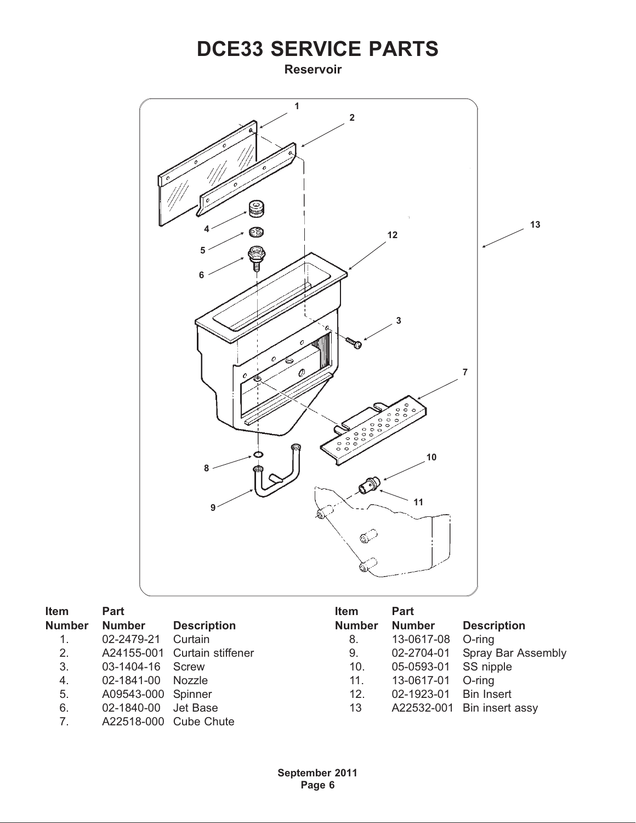<span id="page-5-0"></span>**Reservoir**



| Item             | <b>Part</b>        |                              | <b>Item</b>   | <b>Part</b>   |                            |
|------------------|--------------------|------------------------------|---------------|---------------|----------------------------|
| <b>Number</b>    | <b>Number</b>      | <b>Description</b>           | <b>Number</b> | <b>Number</b> | <b>Description</b>         |
| 1.               | 02-2479-21         | Curtain                      | 8.            | 13-0617-08    | O-ring                     |
| 2.               |                    | A24155-001 Curtain stiffener | 9.            | 02-2704-01    | Spray Bar Assembly         |
| 3.               | 03-1404-16         | Screw                        | 10.           | 05-0593-01    | SS nipple                  |
| $\overline{4}$ . | 02-1841-00         | Nozzle                       | 11.           | 13-0617-01    | $O$ -ring                  |
| 5.               | A09543-000 Spinner |                              | 12.           | 02-1923-01    | <b>Bin Insert</b>          |
| 6.               | 02-1840-00         | Jet Base                     | 13            |               | A22532-001 Bin insert assy |
| 7.               |                    | A22518-000 Cube Chute        |               |               |                            |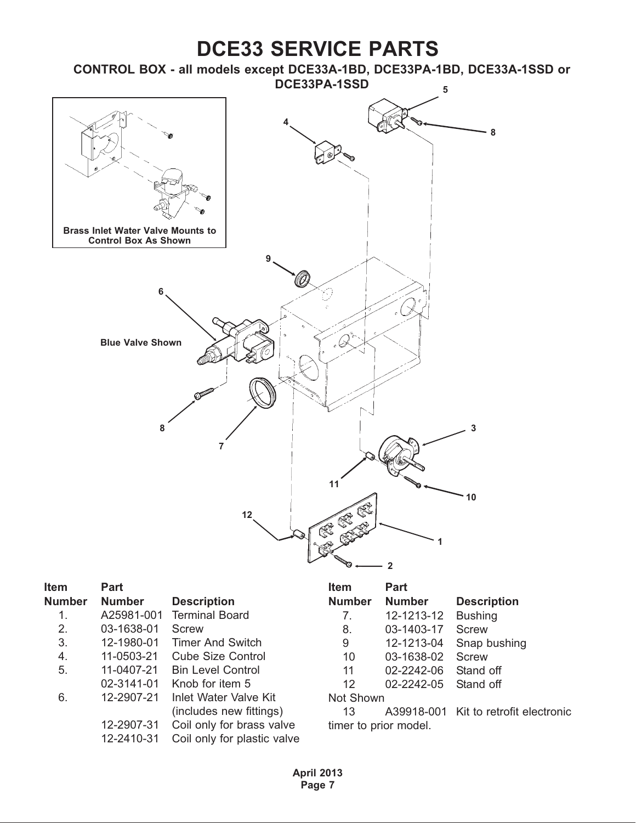<span id="page-6-0"></span>

| Item          | <b>Part</b>   |                             | <b>Item</b>   | <b>Part</b>           |                                       |
|---------------|---------------|-----------------------------|---------------|-----------------------|---------------------------------------|
| <b>Number</b> | <b>Number</b> | <b>Description</b>          | <b>Number</b> | <b>Number</b>         | <b>Description</b>                    |
| 1.            | A25981-001    | <b>Terminal Board</b>       | 7.            | 12-1213-12            | <b>Bushing</b>                        |
| 2.            | 03-1638-01    | Screw                       | 8.            | 03-1403-17            | Screw                                 |
| 3.            | 12-1980-01    | <b>Timer And Switch</b>     | 9             | 12-1213-04            | Snap bushing                          |
| 4.            | 11-0503-21    | <b>Cube Size Control</b>    | 10            | 03-1638-02            | Screw                                 |
| 5.            | 11-0407-21    | <b>Bin Level Control</b>    | 11            | 02-2242-06            | Stand off                             |
|               | 02-3141-01    | Knob for item 5             | 12            | 02-2242-05            | Stand off                             |
| 6.            | 12-2907-21    | Inlet Water Valve Kit       | Not Shown     |                       |                                       |
|               |               | (includes new fittings)     | 13            |                       | A39918-001 Kit to retrofit electronic |
|               | 12-2907-31    | Coil only for brass valve   |               | timer to prior model. |                                       |
|               | 12-2410-31    | Coil only for plastic valve |               |                       |                                       |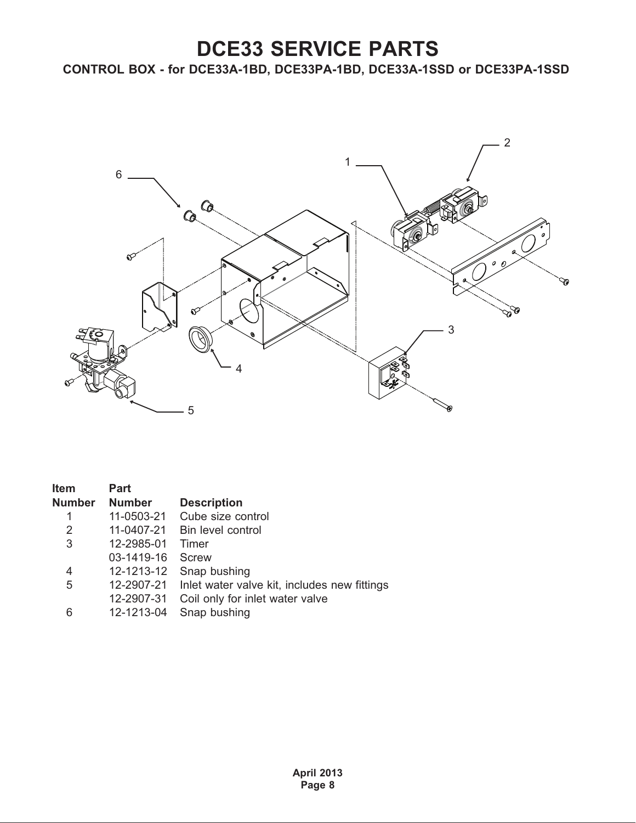<span id="page-7-0"></span>**CONTROL BOX - for DCE33A-1BD, DCE33PA-1BD, DCE33A-1SSD or DCE33PA-1SSD**



| Item          | Part          |                                              |
|---------------|---------------|----------------------------------------------|
| <b>Number</b> | <b>Number</b> | <b>Description</b>                           |
|               | 11-0503-21    | Cube size control                            |
| 2             | 11-0407-21    | Bin level control                            |
| 3             | 12-2985-01    | Timer                                        |
|               | 03-1419-16    | Screw                                        |
| 4             | 12-1213-12    | Snap bushing                                 |
| 5             | 12-2907-21    | Inlet water valve kit, includes new fittings |
|               | 12-2907-31    | Coil only for inlet water valve              |
| 6             | 12-1213-04    | Snap bushing                                 |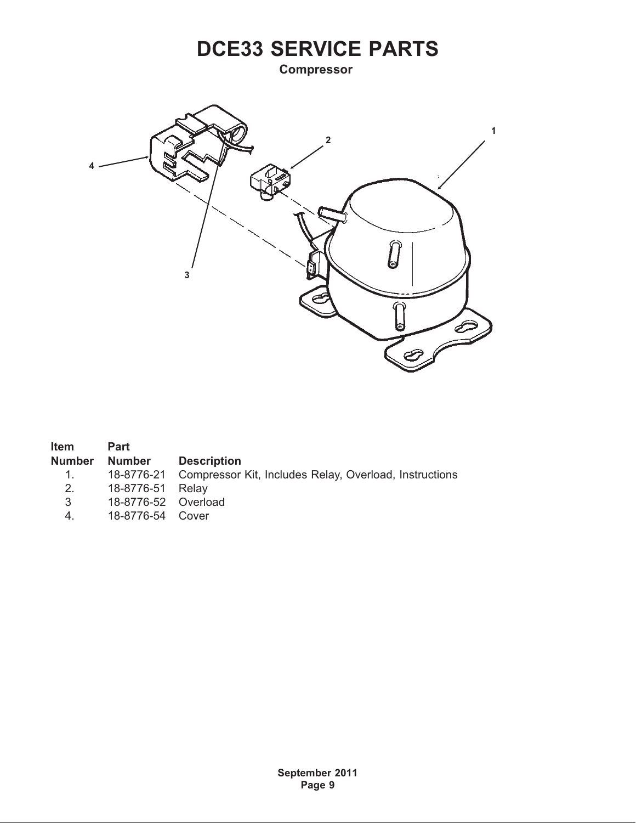<span id="page-8-0"></span>**Compressor**



| <b>Item</b>   | <b>Part</b>         |                                                                   |
|---------------|---------------------|-------------------------------------------------------------------|
| <b>Number</b> | <b>Number</b>       | <b>Description</b>                                                |
| $\sim$ 1.     |                     | 18-8776-21 Compressor Kit, Includes Relay, Overload, Instructions |
| 2.            | 18-8776-51 Relay    |                                                                   |
| 3             | 18-8776-52 Overload |                                                                   |
| 4.            | 18-8776-54 Cover    |                                                                   |

**September 2011 Page 9**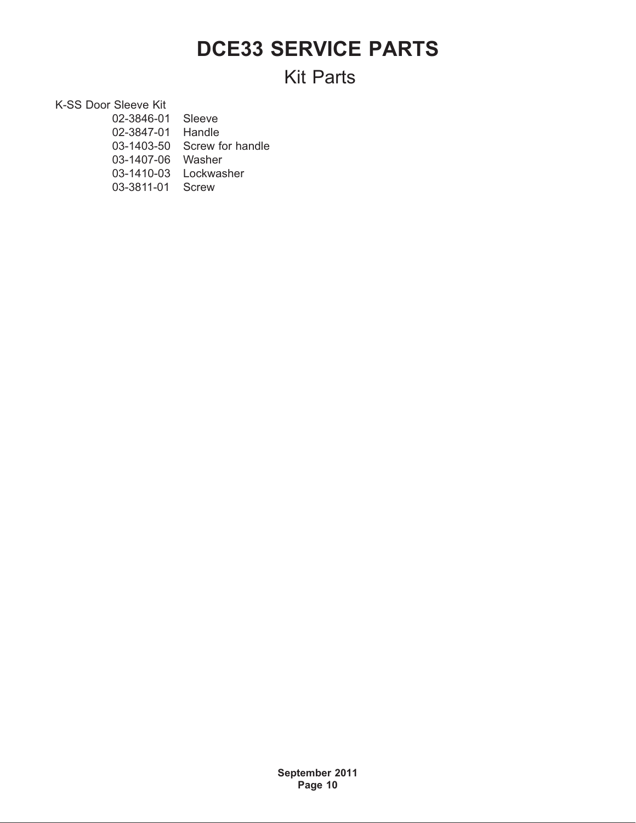### **Kit Parts**

K-SS Door Sleeve Kit

| 02-3846-01 | Sleeve           |
|------------|------------------|
| 02-3847-01 | Handle           |
| 03-1403-50 | Screw for handle |
| 03-1407-06 | Washer           |
| 03-1410-03 | Lockwasher       |
| 03-3811-01 | <b>Screw</b>     |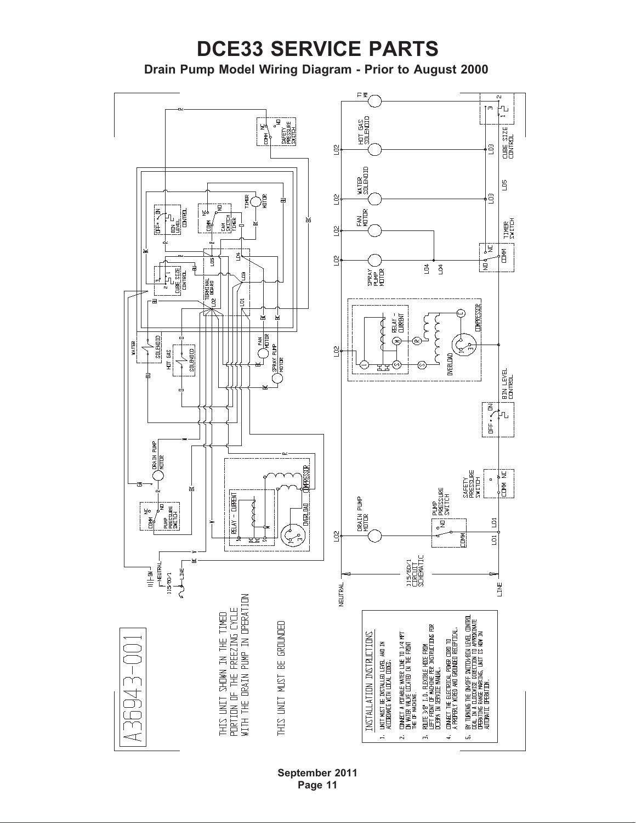### <span id="page-10-0"></span>**DCE33 SERVICE PARTS Drain Pump Model Wiring Diagram - Prior to August 2000**



**September 2011 Page 11**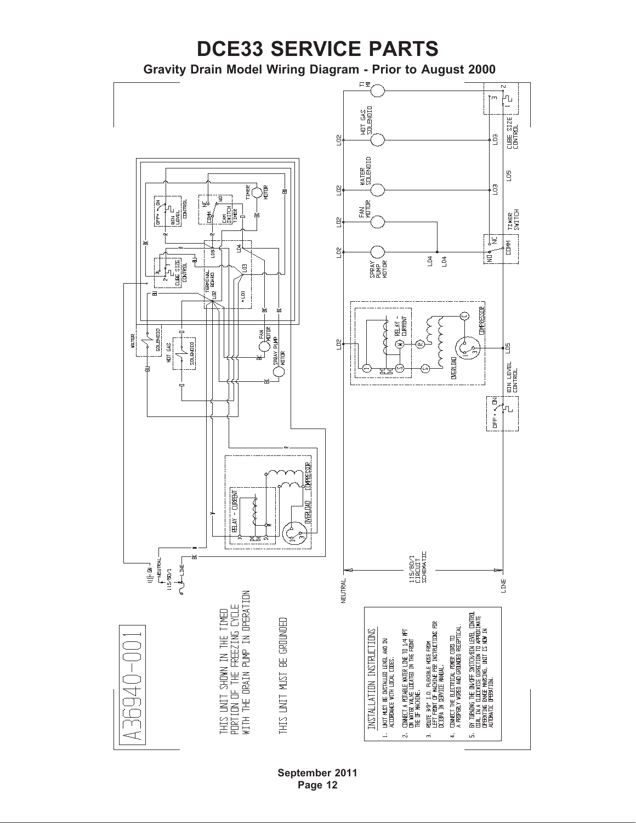<span id="page-11-0"></span>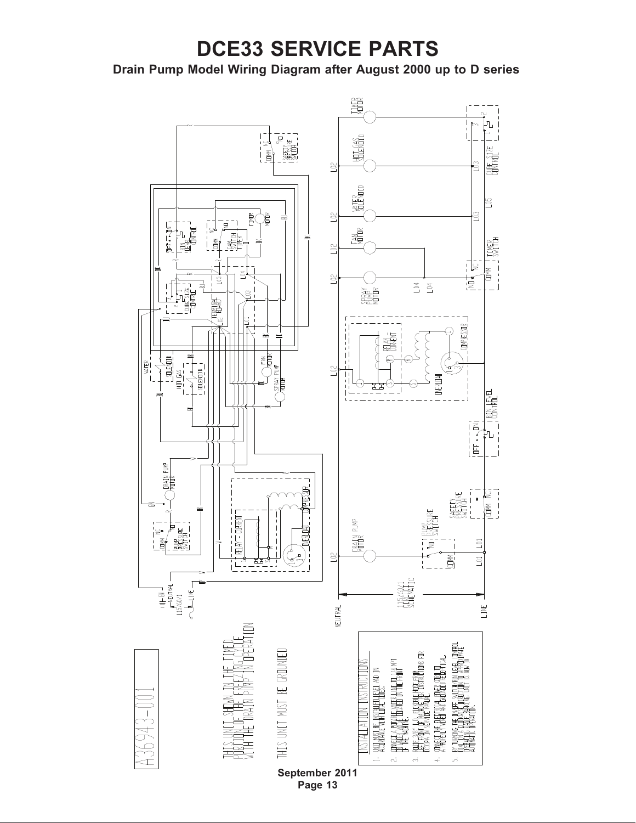#### <span id="page-12-0"></span>**Drain Pump Model Wiring Diagram after August 2000 up to D series**

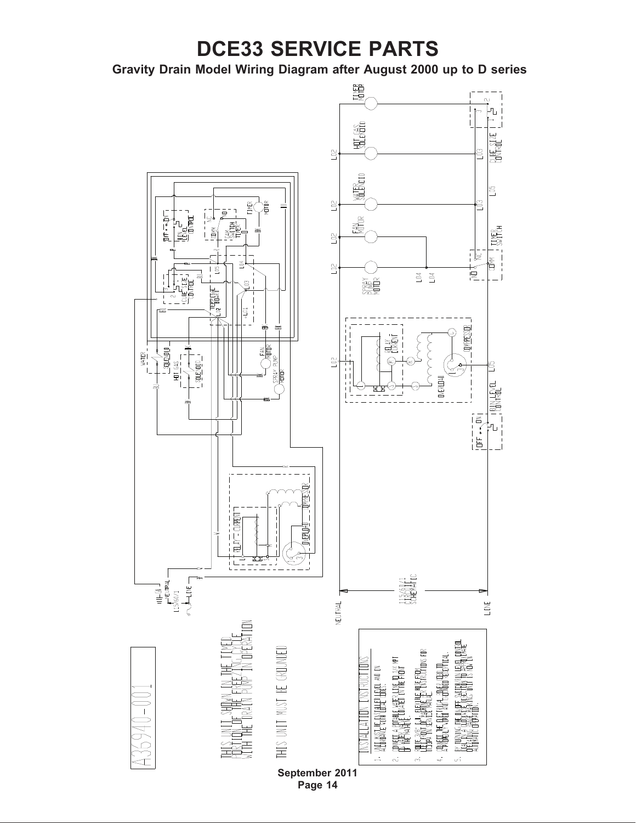<span id="page-13-0"></span>**Gravity Drain Model Wiring Diagram after August 2000 up to D series**

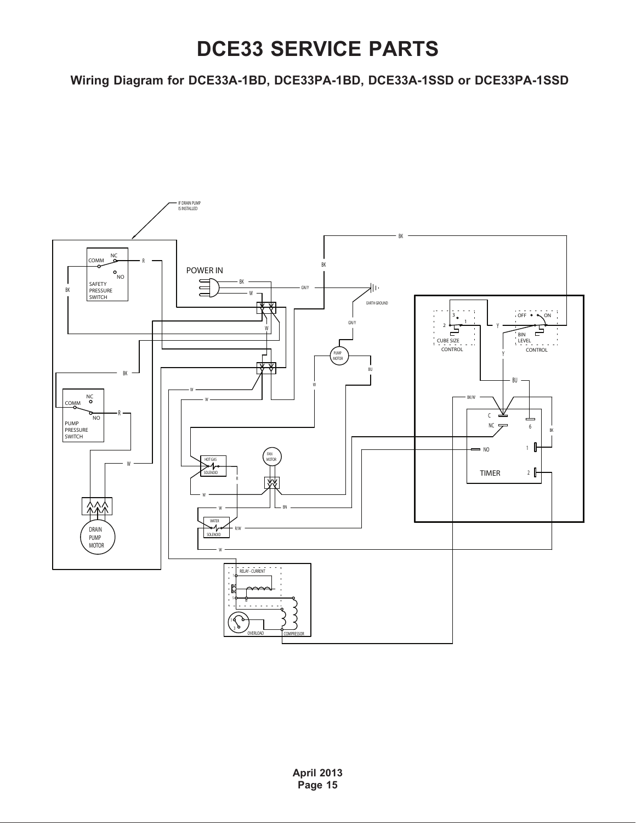<span id="page-14-0"></span>**Wiring Diagram for DCE33A-1BD, DCE33PA-1BD, DCE33A-1SSD or DCE33PA-1SSD**